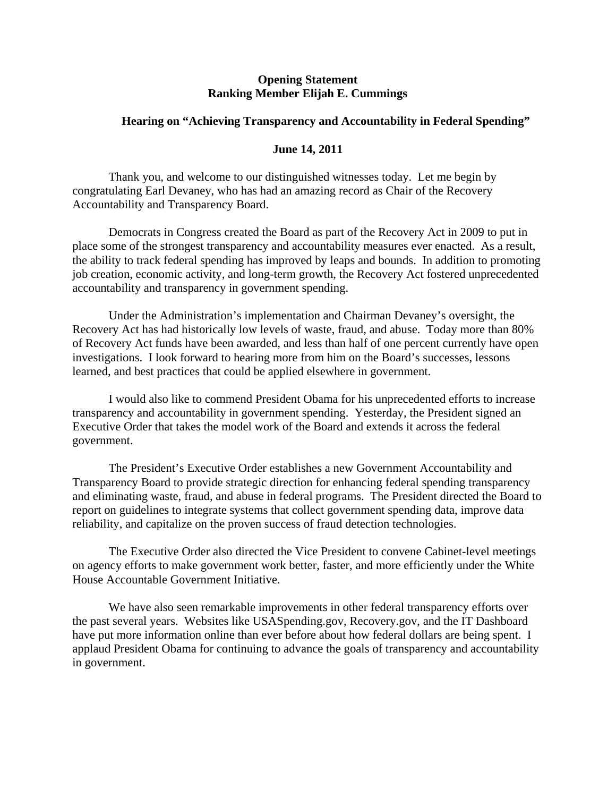## **Opening Statement Ranking Member Elijah E. Cummings**

## **Hearing on "Achieving Transparency and Accountability in Federal Spending"**

## **June 14, 2011**

Thank you, and welcome to our distinguished witnesses today. Let me begin by congratulating Earl Devaney, who has had an amazing record as Chair of the Recovery Accountability and Transparency Board.

Democrats in Congress created the Board as part of the Recovery Act in 2009 to put in place some of the strongest transparency and accountability measures ever enacted. As a result, the ability to track federal spending has improved by leaps and bounds. In addition to promoting job creation, economic activity, and long-term growth, the Recovery Act fostered unprecedented accountability and transparency in government spending.

Under the Administration's implementation and Chairman Devaney's oversight, the Recovery Act has had historically low levels of waste, fraud, and abuse. Today more than 80% of Recovery Act funds have been awarded, and less than half of one percent currently have open investigations. I look forward to hearing more from him on the Board's successes, lessons learned, and best practices that could be applied elsewhere in government.

 I would also like to commend President Obama for his unprecedented efforts to increase transparency and accountability in government spending. Yesterday, the President signed an Executive Order that takes the model work of the Board and extends it across the federal government.

The President's Executive Order establishes a new Government Accountability and Transparency Board to provide strategic direction for enhancing federal spending transparency and eliminating waste, fraud, and abuse in federal programs. The President directed the Board to report on guidelines to integrate systems that collect government spending data, improve data reliability, and capitalize on the proven success of fraud detection technologies.

The Executive Order also directed the Vice President to convene Cabinet-level meetings on agency efforts to make government work better, faster, and more efficiently under the White House Accountable Government Initiative.

We have also seen remarkable improvements in other federal transparency efforts over the past several years. Websites like USASpending.gov, Recovery.gov, and the IT Dashboard have put more information online than ever before about how federal dollars are being spent. I applaud President Obama for continuing to advance the goals of transparency and accountability in government.